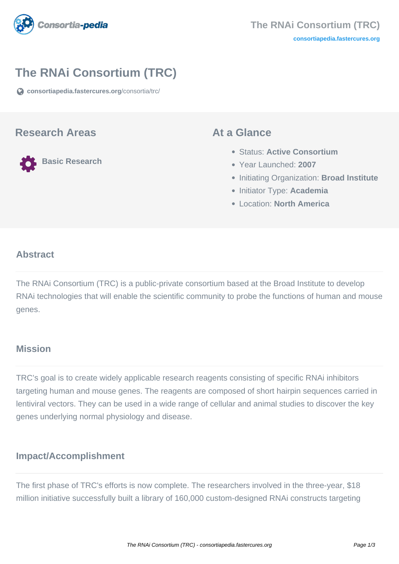

# **The RNAi Consortium (TRC)**

**[consortiapedia.fastercures.org](https://consortiapedia.fastercures.org/consortia/trc/)**[/consortia/trc/](https://consortiapedia.fastercures.org/consortia/trc/)

### **Research Areas**

**Basic Research**

### **At a Glance**

- Status: **Active Consortium**
- Year Launched: **2007**
- **Initiating Organization: Broad Institute**
- **Initiator Type: Academia**
- Location: **North America**

#### $\overline{a}$ **Abstract**

The RNAi Consortium (TRC) is a public-private consortium based at the Broad Institute to develop RNAi technologies that will enable the scientific community to probe the functions of human and mouse genes.

## **Mission**

TRC's goal is to create widely applicable research reagents consisting of specific RNAi inhibitors targeting human and mouse genes. The reagents are composed of short hairpin sequences carried in lentiviral vectors. They can be used in a wide range of cellular and animal studies to discover the key genes underlying normal physiology and disease.

## **Impact/Accomplishment**

The first phase of TRC's efforts is now complete. The researchers involved in the three-year, \$18 million initiative successfully built a library of 160,000 custom-designed RNAi constructs targeting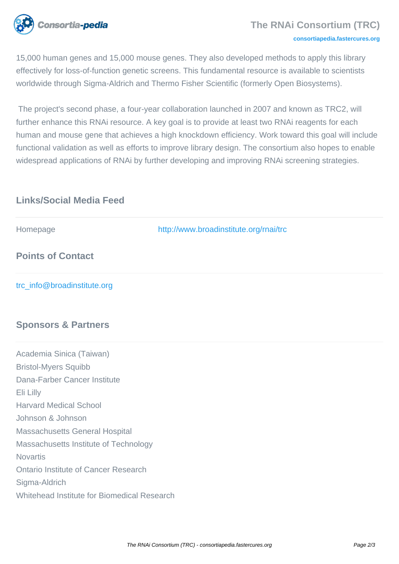

#### **[consortiapedia.fastercures.org](http://consortiapedia.fastercures.org/)**

15,000 human genes and 15,000 mouse genes. They also developed methods to apply this library effectively for loss-of-function genetic screens. This fundamental resource is available to scientists worldwide through Sigma-Aldrich and Thermo Fisher Scientific (formerly Open Biosystems).

 The project's second phase, a four-year collaboration launched in 2007 and known as TRC2, will further enhance this RNAi resource. A key goal is to provide at least two RNAi reagents for each human and mouse gene that achieves a high knockdown efficiency. Work toward this goal will include functional validation as well as efforts to improve library design. The consortium also hopes to enable widespread applications of RNAi by further developing and improving RNAi screening strategies.

# **Links/Social Media Feed**

| Homepage                                    | http://www.broadinstitute.org/rnai/trc |
|---------------------------------------------|----------------------------------------|
| <b>Points of Contact</b>                    |                                        |
| trc_info@broadinstitute.org                 |                                        |
| <b>Sponsors &amp; Partners</b>              |                                        |
| Academia Sinica (Taiwan)                    |                                        |
| <b>Bristol-Myers Squibb</b>                 |                                        |
| Dana-Farber Cancer Institute                |                                        |
| Eli Lilly                                   |                                        |
| <b>Harvard Medical School</b>               |                                        |
| Johnson & Johnson                           |                                        |
| <b>Massachusetts General Hospital</b>       |                                        |
| Massachusetts Institute of Technology       |                                        |
| <b>Novartis</b>                             |                                        |
| <b>Ontario Institute of Cancer Research</b> |                                        |
| Sigma-Aldrich                               |                                        |

Whitehead Institute for Biomedical Research